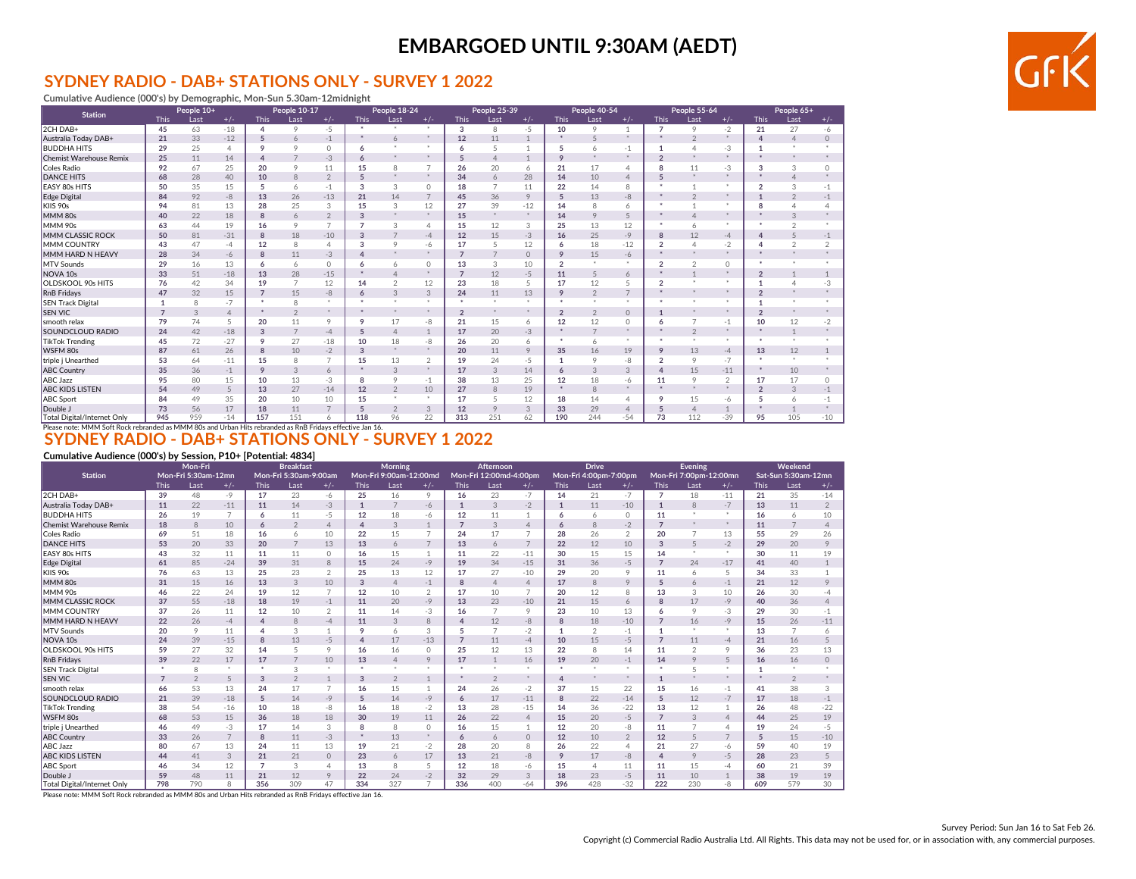### **SYDNEY RADIO - DAB+ STATIONS ONLY - SURVEY 1 2022**

**Cumulative Audience (000's) by Demographic, Mon-Sun 5.30am-12midnight**

| <b>Station</b>                     |                                           | People 10+ |                |                | People 10-17   |                |             | People 18-24   |                |                 | <b>People 25-39</b> |              |                | People 40-54   |                |                | People 55-64   |                |             | People 65+    |                |
|------------------------------------|-------------------------------------------|------------|----------------|----------------|----------------|----------------|-------------|----------------|----------------|-----------------|---------------------|--------------|----------------|----------------|----------------|----------------|----------------|----------------|-------------|---------------|----------------|
|                                    | <b>This</b>                               | Last       | $+/-$          | <b>This</b>    | Last           | $+/-$          | <b>This</b> | Last           | $+/-$          | <b>This</b>     | Last                | $+/-$        | <b>This</b>    | Last           | $+/-$          | <b>This</b>    | Last           | $+/-$          | <b>This</b> | Last          | $+/-$          |
| 2CH DAB+                           | 45                                        | 63         | $-18$          | 4              | 9              | $-5$           |             |                | ×              | 3               | 8                   | $-5$         | 10             | 9              | $\overline{1}$ | 7              | 9              | $-2$           | 21          | 27            | $-6$           |
| Australia Today DAB+               | 21                                        | 33         | $-12$          | 5              | 6              | $-1$           |             | 6              | *              | 12              | 11                  | $\mathbf{1}$ | $\star$        |                | *              | $\star$        | $\overline{2}$ | *              | 4           |               | $\Omega$       |
| <b>BUDDHA HITS</b>                 | 29                                        | 25         | $\Delta$       | 9              | $\circ$        | $\circ$        | 6           |                |                | 6               | 5                   |              | 5              | 6              | $-1$           |                | $\Delta$       | $-3$           |             |               |                |
| <b>Chemist Warehouse Remix</b>     | 25                                        | 11         | 14             | $\Delta$       |                | $-3$           |             |                | $\mathcal{L}$  | $5\overline{5}$ | $\overline{4}$      |              | 9              |                | *              | $\mathcal{D}$  | $\star$        | W.             |             | and in        |                |
| Coles Radio                        | 92                                        | 67         | 25             | 20             | $\circ$        | 11             | 15          | 8              | $\overline{7}$ | 26              | 20                  | 6            | 21             | 17             | 4              | 8              | 11             | $-3$           | 3           | 3             | $\Omega$       |
| <b>DANCE HITS</b>                  | 68                                        | 28         | 40             | 10             | 8              | $\overline{2}$ | 5           |                | $*$            | 34              | 6                   | 28           | 14             | 10             | $\overline{4}$ | 5              | $\star$        | ※              |             |               |                |
| <b>EASY 80s HITS</b>               | 50                                        | 35         | 15             | 5              | 6              | $-1$           | 3           | 3              | $\Omega$       | 18              | 7                   | 11           | 22             | 14             | 8              |                |                |                | 2           | 3             | $-1$           |
| Edge Digital                       | 84                                        | 92         | $-8$           | 13             | 26             | $-13$          | 21          | 14             | $\overline{7}$ | 45              | 36                  | 9            | 5              | 13             | -8             |                | $\mathfrak{D}$ |                |             | $\mathcal{P}$ | $-1$           |
| KIIS 90s                           | 94                                        | 81         | 13             | 28             | 25             | 3              | 15          | 3              | 12             | 27              | 39                  | $-12$        | 14             | 8              | 6              |                |                |                |             |               |                |
| MMM 80s                            | 40                                        | 22         | 18             | 8              | 6              | $\overline{2}$ | 3           |                | $\mathcal{L}$  | 15              | *                   | *            | 14             | 9              | 5              | ٠              | $\overline{4}$ | <b>W</b>       |             | 3             |                |
| MMM 90s                            | 63                                        | 44         | 19             | 16             | 9              | $\overline{7}$ |             | 3              | 4              | 15              | 12                  | 3            | 25             | 13             | 12             | ٠              | 6              | *              |             |               |                |
| MMM CLASSIC ROCK                   | 50                                        | 81         | $-31$          | 8              | 18             | $-10$          | З           |                | $-4$           | 12              | 15                  | $-3$         | 16             | 25             | $-9$           | 8              | 12             | $-4$           |             |               | $-1$           |
| <b>MMM COUNTRY</b>                 | 43                                        | 47         | $-4$           | 12             | 8              | $\overline{4}$ | 3           | $\circ$        | -6             | 17              | 5                   | 12           | 6              | 18             | $-12$          | $\overline{2}$ | $\overline{4}$ | $-2$           |             | $\sim$        | $\mathfrak{D}$ |
| MMM HARD N HEAVY                   | 28                                        | 34         | $-6$           | 8              | 11             | $-3$           |             |                | *              | $\overline{7}$  | $\overline{7}$      | $\circ$      | 9              | 15             | $-6$           |                |                |                |             |               |                |
| MTV Sounds                         | 29                                        | 16         | 13             | 6              | 6              | $\circ$        | 6           | 6              | $\circ$        | 13              | 3                   | 10           | $\overline{2}$ |                | *              | $\overline{2}$ | $\overline{2}$ | $\Omega$       |             |               |                |
| NOVA <sub>10s</sub>                | 33                                        | 51         | $-18$          | 13             | 28             | $-15$          |             |                | $\frac{1}{2}$  | $\overline{7}$  | 12                  | $-5$         | 11             | 5              | 6              |                | $\overline{1}$ |                |             |               |                |
| <b>OLDSKOOL 90s HITS</b>           | 76                                        | 42         | 34             | 19             | $\overline{z}$ | 12             | 14          | $\overline{2}$ | 12             | 23              | 18                  | 5            | 17             | 12             | 5              | $\overline{2}$ | - 80           |                |             |               | -3             |
| <b>RnB</b> Fridays                 | 47                                        | 32         | 15             | $\overline{7}$ | 15             | -8             | 6           | 3              | 3              | 24              | 11                  | 13           | 9              | $\overline{2}$ | $\overline{7}$ | ٠              | $\frac{1}{2}$  |                |             |               |                |
| <b>SEN Track Digital</b>           |                                           | 8          | $-7$           |                | 8              | *              |             |                |                |                 |                     |              |                |                | *              |                |                |                |             |               |                |
| <b>SEN VIC</b>                     |                                           | 3          | $\overline{4}$ | $\star$        | $\mathfrak{D}$ | *              |             |                | ×.             | $\overline{2}$  | *                   | ×            | $\overline{2}$ | $\mathfrak{D}$ | $\circ$        |                | $\star$        | $\frac{1}{2}$  |             |               |                |
| smooth relax                       | 79                                        | 74         | 5              | 20             | 11             | 9              | 9           | 17             | -8             | 21              | 15                  | 6            | 12             | 12             | $\circ$        | 6              | $\overline{7}$ | $-1$           | 10          | 12            | $-2$           |
| <b>SOUNDCLOUD RADIO</b>            | 24                                        | 42         | $-18$          | 3              |                | $-4$           |             |                |                | 17              | 20                  | $-3$         |                | $\overline{7}$ | *              |                | $\overline{2}$ | <b>W</b>       |             |               |                |
| <b>TikTok Trending</b>             | 45                                        | 72         | $-27$          | 9              | 27             | $-18$          | 10          | 18             | -8             | 26              | 20                  | 6            | ۰              | 6              | *              |                | $\rightarrow$  | *              |             |               |                |
| WSFM 80s                           | 87                                        | 61         | 26             | 8              | 10             | $-2$           | 3           |                | $\frac{1}{2}$  | 20              | 11                  | 9            | 35             | 16             | 19             | 9              | 13             | $-4$           | 13          | 12            |                |
| triple j Unearthed                 | 53                                        | 64         | $-11$          | 15             | $\mathcal{R}$  | $\overline{7}$ | 15          | 13             | $\overline{2}$ | 19              | 24                  | $-5$         |                | $\circ$        | -8             | $\overline{a}$ | 9              | $-7$           | ÷           | <b>A</b>      |                |
| <b>ABC Country</b>                 | 35                                        | 36         | $-1$           | 9              | 3              | 6              |             | 3              | $*$            | 17              | 3                   | 14           | 6              | 3              | 3              | 4              | 15             | $-11$          |             | 10            |                |
| <b>ABC Jazz</b>                    | 95                                        | 80         | 15             | 10             | 13             | $-3$           | 8           |                | $-1$           | 38              | 13                  | 25           | 12             | 18             | -6             | 11             | 9              | $\overline{2}$ | 17          | 17            | 0              |
| <b>ABC KIDS LISTEN</b>             | 54                                        | 49         | 5              | 13             | 27             | $-14$          | 12          | $\mathfrak{D}$ | 10             | 27              | 8                   | 19           | $\star$        | 8              | *              |                | $\star$        | *              |             | 3             | $-1$           |
| <b>ABC</b> Sport                   | 84                                        | 49         | 35             | 20             | 10             | 10             | 15          |                | $\mathbf{a}$   | 17              | 5                   | 12           | 18             | 14             | 4              | 9              | 15             | -6             |             | 6             | $-1$           |
| Double J                           | 73                                        | 56         | 17             | 18             | 11             | $\overline{7}$ | 5           | $\Omega$       | 3              | 12              | 9                   | 3            | 33             | 29             | $\overline{4}$ | 5              | $\overline{4}$ |                |             |               |                |
| <b>Total Digital/Internet Only</b> | 945<br>$\sim$ $\sim$ $\sim$ $\sim$ $\sim$ | 959        | $-14$          | 157            | 151            | 6              | 118         | 96             | 22             | 313             | 251                 | 62           | 190            | 244            | $-54$          | 73             | 112            | $-39$          | 95          | 105           | $-10$          |

## Please note: MMM Soft Rock rebranded as MMM 80s and Urban Hits rebranded as RnB Fridays effective Jan 16.<br>**SYDNEY RADIO - DAB+ STATIONS ONLY - SURVEY 1 2022**

#### **Cumulative Audience (000's) by Session, P10+ [Potential: 4834]**

|                                    | Mon-Fri<br>Mon-Fri 5:30am-12mn |                |                | <b>Breakfast</b> |                       |                | Morning     |                        |                          | Afternoon      |                        |                | <b>Drive</b>         |                       |                | <b>Evening</b> |                        |                | Weekend     |                     |                |
|------------------------------------|--------------------------------|----------------|----------------|------------------|-----------------------|----------------|-------------|------------------------|--------------------------|----------------|------------------------|----------------|----------------------|-----------------------|----------------|----------------|------------------------|----------------|-------------|---------------------|----------------|
| <b>Station</b>                     |                                |                |                |                  | Mon-Fri 5:30am-9:00am |                |             | Mon-Fri 9:00am-12:00md |                          |                | Mon-Fri 12:00md-4:00pm |                |                      | Mon-Fri 4:00pm-7:00pm |                |                | Mon-Fri 7:00pm-12:00mn |                |             | Sat-Sun 5:30am-12mn |                |
|                                    | <b>This</b>                    | Last           | $+/-$          | <b>This</b>      | Last                  | $+/-$          | <b>This</b> | Last                   | $+/-$                    | <b>This</b>    | Last                   | $+/-$          | <b>This</b>          | Last                  | $+/-$          | <b>This</b>    | Last                   | $+/-$          | <b>This</b> | Last                | $+/-$          |
| 2CH DAB+                           | 39                             | 48             | -9             | 17               | 23                    | -6             | 25          | 16                     | 9                        | 16             | 23                     | $-7$           | 14                   | 21                    | $-7$           | $\overline{7}$ | 18                     | $-11$          | 21          | 35                  | $-14$          |
| Australia Today DAB+               | 11                             | 22             | $-11$          | 11               | 14                    | $-3$           |             | $\overline{7}$         | $-6$                     | $\mathbf{1}$   | 3                      | $-2$           | $\mathbf{1}$         | 11                    | $-10$          | $\overline{1}$ | 8                      | $-7$           | 13          | 11                  | $\overline{2}$ |
| <b>BUDDHA HITS</b>                 | 26                             | 19             | $\overline{7}$ | 6                | 11                    | $-5$           | 12          | 18                     | -6                       | 12             | 11                     |                | 6                    | 6                     | $\circ$        | 11             |                        | $\ast$         | 16          | 6                   | 10             |
| <b>Chemist Warehouse Remix</b>     | 18                             | 8              | 10             | 6                | $\overline{2}$        | $\overline{4}$ | $\Delta$    | 3                      | $\mathbf{1}$             | $\overline{7}$ | 3                      | $\overline{4}$ | 6                    | 8                     | $-2$           | $\overline{ }$ |                        | *              | 11          | $\overline{7}$      | $\overline{4}$ |
| Coles Radio                        | 69                             | 51             | 18             | 16               | 6                     | 10             | 22          | 15                     | 7                        | 24             | 17                     | $\overline{7}$ | 28                   | 26                    | $\overline{2}$ | 20             |                        | 13             | 55          | 29                  | 26             |
| <b>DANCE HITS</b>                  | 53                             | 20             | 33             | 20               | $\overline{7}$        | 13             | 13          | 6                      | $\overline{7}$           | 13             | 6                      | $\overline{7}$ | 22                   | 12                    | 10             | 3              |                        | $-2$           | 29          | 20                  | $\circ$        |
| EASY 80s HITS                      | 43                             | 32             | 11             | 11               | 11                    | $\Omega$       | 16          | 15                     |                          | 11             | 22                     | $-11$          | 30                   | 15                    | 15             | 14             |                        | $\ast$         | 30          | 11                  | 19             |
| <b>Edge Digital</b>                | 61                             | 85             | $-24$          | 39               | 31                    | 8              | 15          | 24                     | $-9$                     | 19             | 34                     | $-15$          | 31                   | 36                    | $-5$           | ⇁              | 24                     | $-17$          | 41          | 40                  |                |
| KIIS 90s                           | 76                             | 63             | 13             | 25               | 23                    | $\overline{2}$ | 25          | 13                     | 12                       | 17             | 27                     | $-10$          | 29                   | 20                    | 9              | 11             | 6                      | 5              | 34          | 33                  |                |
| MMM 80s                            | 31                             | 15             | 16             | 13               | 3                     | 10             | 3           | $\Delta$               | $-1$                     | 8              | $\overline{4}$         | $\overline{4}$ | 17                   | 8                     | 9              | 5              | 6                      | $-1$           | 21          | 12                  | $\Omega$       |
| MMM 90s                            | 46                             | 22             | 24             | 19               | 12                    | $\overline{7}$ | 12          | 10                     | $\overline{2}$           | 17             | 10                     |                | 20                   | 12                    | 8              | 13             | 3                      | 10             | 26          | 30                  | -4             |
| <b>MMM CLASSIC ROCK</b>            | 37                             | 55             | $-18$          | 18               | 19                    | $-1$           | 11          | 20                     | $-9$                     | 13             | 23                     | $-10$          | 21                   | 15                    | 6              | $\mathbf{R}$   | 17                     | $-9$           | 40          | 36                  |                |
| MMM COUNTRY                        | 37                             | 26             | 11             | 12               | 10                    | $\overline{2}$ | 11          | 14                     | -3                       | 16             | $\overline{7}$         | 9              | 23                   | 10                    | 13             | 6              | $\circ$                | -3             | 29          | 30                  | $-1$           |
| MMM HARD N HEAVY                   | 22                             | 26             | $-4$           | $\Delta$         | 8                     | $-4$           | 11          | 3                      | 8                        |                | 12                     | $-8$           | 8                    | 18                    | $-10$          |                | 16                     | $-9$           | 15          | 26                  | $-11$          |
| <b>MTV Sounds</b>                  | 20                             | 9              | 11             | 4                | 3                     |                | 9           | 6                      | 3                        | 5              | $\overline{7}$         | $-2$           | $\mathbf{1}$         | $\mathfrak{D}$        | $-1$           |                |                        | $\ast$         | 13          | $\overline{7}$      | 6              |
| NOVA <sub>10s</sub>                | 24                             | 39             | $-15$          | 8                | 13                    | $-5$           |             | 17                     | $-13$                    | $\overline{7}$ | 11                     | $-4$           | 10                   | 15                    | $-5$           |                | 11                     | $-4$           | 21          | 16                  |                |
| OLDSKOOL 90s HITS                  | 59                             | 27             | 32             | 14               | 5                     | 9              | 16          | 16                     | $\Omega$                 | 25             | 12                     | 13             | 22                   | 8                     | 14             | 11             | $\mathfrak{D}$         | 9              | 36          | 23                  | 13             |
| RnB Fridays                        | 39                             | 22             | 17             | 17               | $\overline{7}$        | 10             | 13          | $\overline{4}$         | 9                        | 17             | $\mathbf{1}$           | 16             | 19                   | 20                    | $-1$           | 14             | $\circ$                | 5              | 16          | 16                  | $\Omega$       |
| <b>SEN Track Digital</b>           | $\star$                        | 8              | $\star$        | $\ddot{}$        | 3                     | ×              |             | ×                      | <b>*</b>                 | $\mathbf{r}$   | *                      | <b>ALC</b>     | $\ddot{\phantom{1}}$ | <b>W</b>              | <b>W</b>       |                |                        | $\ast$         |             | <b>A</b>            |                |
| <b>SEN VIC</b>                     | $\overline{7}$                 | $\overline{2}$ | 5              | 3                | $\mathfrak{D}$        |                | 3           | $\mathfrak{D}$         | $\mathbf{1}$             | 東              | $\overline{2}$         | *              | $\Delta$             | *                     | *              |                |                        | *              |             | $\overline{2}$      |                |
| smooth relax                       | 66                             | 53             | 13             | 24               | 17                    | 7              | 16          | 15                     |                          | 24             | 26                     | $-2$           | 37                   | 15                    | 22             | 15             | 16                     | $-1$           | 41          | 38                  | 3              |
| SOUNDCLOUD RADIO                   | 21                             | 39             | $-18$          | 5                | 14                    | $-9$           |             | 14                     | $-9$                     | 6              | 17                     | $-11$          | 8                    | 22                    | $-14$          | 5              | 12                     | $-7$           | 17          | 18                  | $-1$           |
| <b>TikTok Trending</b>             | 38                             | 54             | $-16$          | 10               | 18                    | $-8$           | 16          | 18                     | $-2$                     | 13             | 28                     | $-15$          | 14                   | 36                    | $-22$          | 13             | 12                     | 1              | 26          | 48                  | $-22$          |
| WSFM 80s                           | 68                             | 53             | 15             | 36               | 18                    | 18             | 30          | 19                     | 11                       | 26             | 22                     | $\overline{4}$ | 15                   | 20                    | $-5$           | $\overline{7}$ | 3                      | $\varDelta$    | 44          | 25                  | 19             |
| triple j Unearthed                 | 46                             | 49             | $-3$           | 17               | 14                    | 3              |             | 8                      | $\Omega$                 | 16             | 15                     |                | 12                   | 20                    | -8             | 11             |                        | Δ              | 19          | 24                  | $-5$           |
| <b>ABC Country</b>                 | 33                             | 26             | $\overline{7}$ | 8                | 11                    | $-3$           |             | 13                     | $+$                      | 6              | 6                      | $\circ$        | 12                   | 10                    | $\overline{2}$ | 12             | 5                      | $\overline{7}$ | 5           | 15                  | $-10$          |
| <b>ABC Jazz</b>                    | 80                             | 67             | 13             | 24               | 11                    | 13             | 19          | 21                     | $-2$                     | 28             | 20                     | 8              | 26                   | 22                    | $\Delta$       | 21             | 27                     | $-6$           | 59          | 40                  | 19             |
| <b>ABC KIDS LISTEN</b>             | 44                             | 41             | 3              | 21               | 21                    | $\circ$        | 23          | 6                      | 17                       | 13             | 21                     | -8             | 9                    | 17                    | -8             | $\Delta$       | $\circ$                | $-5$           | 28          | 23                  | 5              |
| <b>ABC Sport</b>                   | 46                             | 34             | 12             | $\overline{7}$   | 3                     | 4              | 13          | 8                      | 5                        | 12             | 18                     | -6             | 15                   |                       | 11             | 11             | 15                     | -4             | 60          | 21                  | 39             |
| Double J                           | 59                             | 48             | 11             | 21               | 12                    | 9              | 22          | 24                     | $-2$                     | 32             | 29                     | 3              | 18                   | 23                    | $-5$           | 11             | 10                     |                | 38          | 19                  | 19             |
| <b>Total Digital/Internet Only</b> | 798                            | 790            | $\mathsf{R}$   | 356              | 309                   | 47             | 334         | 327                    | $\overline{\phantom{a}}$ | 336            | 400                    | $-64$          | 396                  | 428                   | $-32$          | 222            | 230                    | -8             | 609         | 579                 | 30             |

Please note: MMM Soft Rock rebranded as MMM 80s and Urban Hits rebranded as RnB Fridays effective Jan 16.

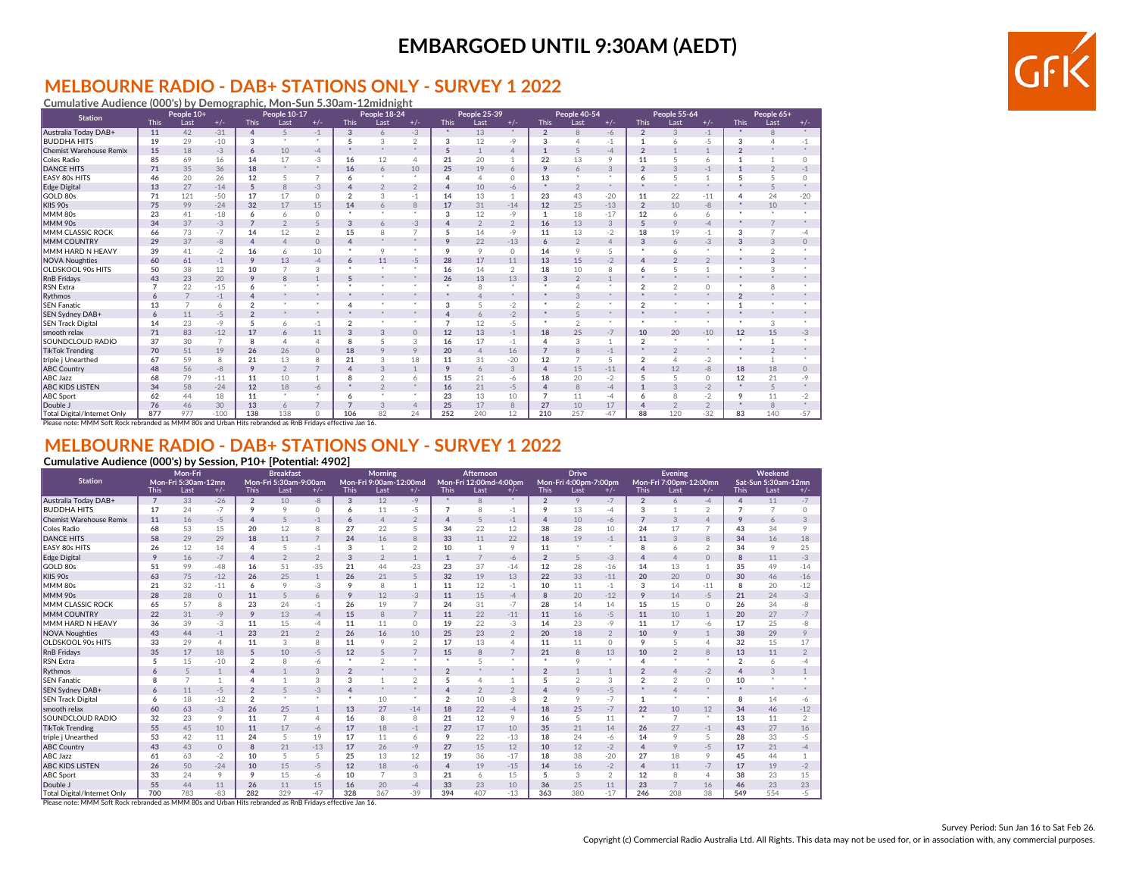#### **MELBOURNE RADIO - DAB+ STATIONS ONLY - SURVEY 1 2022 Cumulative Audience (000's) by Demographic, Mon-Sun 5.30am-12midnight**

| <b>Station</b>                                  |                | People 10+     |        |                | People 10-17                                              |                |                        | People 18-24   |                      |                | People 25-39   |                |                | People 40-54   |                |                | People 55-64   |                |                | People 65+    |               |
|-------------------------------------------------|----------------|----------------|--------|----------------|-----------------------------------------------------------|----------------|------------------------|----------------|----------------------|----------------|----------------|----------------|----------------|----------------|----------------|----------------|----------------|----------------|----------------|---------------|---------------|
|                                                 | <b>This</b>    | Last           | $+/-$  | <b>This</b>    | Last                                                      | $+/-$          | <b>This</b>            | Last           | $+/-$                | <b>This</b>    | Last           | $+/-$          | <b>This</b>    | Last           | $+/-$          | <b>This</b>    | Last           | $+/-$          | <b>This</b>    | Last          | $+/-$         |
| Australia Today DAB+                            | 11             | 42             | $-31$  | $\overline{4}$ | 5                                                         | $-1$           | 3                      | 6              | $-3$                 | *              | 13             | *              | $\overline{2}$ | 8              | $-6$           | $\overline{2}$ | 3              | $-1$           | $\cdot$        | 8             | $\frac{1}{2}$ |
| <b>BUDDHA HITS</b>                              | 19             | 29             | $-10$  | 3              |                                                           |                | 5                      | 3              | $\overline{2}$       | 3              | 12             | $-9$           | 3              | $\overline{4}$ | $-1$           | $\mathbf{1}$   | 6              | $-5$           | 3              |               | $-1$          |
| <b>Chemist Warehouse Remix</b>                  | 15             | 18             | $-3$   | 6              | 10                                                        | $-4$           | $\star$                |                | $\pm$                | $\overline{5}$ | $\overline{1}$ | $\overline{4}$ |                | 5              | $-4$           | $\overline{2}$ |                |                | $\overline{2}$ |               | $\mathcal{L}$ |
| Coles Radio                                     | 85             | 69             | 16     | 14             | 17                                                        | $-3$           | 16                     | 12             | $\overline{4}$       | 21             | 20             |                | 22             | 13             | 9              | 11             | 5              | $\overline{a}$ |                |               | $\Omega$      |
| <b>DANCE HITS</b>                               | 71             | 35             | 36     | 18             |                                                           | *              | 16                     | 6              | 10                   | 25             | 19             | 6              | $\mathsf{Q}$   | 6              | 3              | $\overline{2}$ | 3              | $-1$           |                |               | $-1$          |
| <b>EASY 80s HITS</b>                            | 46             | 20             | 26     | 12             | 5                                                         | $\overline{ }$ | 6                      |                | $\ddot{\phantom{1}}$ | 4              | $\overline{4}$ | $\Omega$       | 13             | $\star$        |                | 6              | 5              |                | 5              |               | $\Omega$      |
| Edge Digital                                    | 13             | 27             | $-14$  | 5              | 8                                                         | $-3$           |                        | $\mathfrak{D}$ | $\overline{2}$       | Δ              | 10             | $-6$           |                | $\overline{2}$ | $\sim$         |                |                |                |                |               | $\mathcal{R}$ |
| GOLD 80s                                        | 71             | 121            | $-50$  | 17             | 17                                                        | $\Omega$       | $\overline{2}$         | 3              | $-1$                 | 14             | 13             |                | 23             | 43             | $-20$          | 11             | 22             | $-11$          |                | 24            | $-20$         |
| KIIS 90s                                        | 75             | 99             | $-24$  | 32             | 17                                                        | 15             | 14                     |                | 8                    | 17             | 31             | $-14$          | 12             | 25             | $-13$          | $\overline{2}$ | 10             | -8             |                | 10            | $\mathcal{R}$ |
| MMM 80s                                         | 23             | 41             | $-18$  | 6              | 6                                                         | $\Omega$       | $\bullet$              |                | $\ddot{\phantom{1}}$ | 3              | 12             | $-9$           | -1             | 18             | $-17$          | 12             | 6              | 6              | ۰              |               |               |
| MMM 90s                                         | 34             | 37             | $-3$   | $\overline{7}$ | $\overline{2}$                                            |                | 3                      | $\epsilon$     | $-3$                 |                | $\overline{2}$ | $\overline{2}$ | 16             | 13             | 3              | 5              | 9              | $-\Delta$      |                |               |               |
| <b>MMM CLASSIC ROCK</b>                         | 66             | 73             | $-7$   | 14             | 12                                                        | $\mathcal{P}$  | 15                     | $\mathcal{R}$  | $\overline{7}$       | 5              | 14             | $-9$           | 11             | 13             | $-2$           | 18             | 19             | $-1$           | 3              |               | $-4$          |
| <b>MMM COUNTRY</b>                              | 29             | 37             | $-8-$  | $\Delta$       | $\Delta$                                                  | $\Omega$       | $\boldsymbol{\Lambda}$ |                | $\star$              | $\circ$        | 22             | $-13$          | 6              | $\overline{2}$ | $\overline{4}$ | 3              | 6              | $-3$           | 3              |               | $\Omega$      |
| MMM HARD N HEAVY                                | 39             | 41             | $-2$   | 16             | 6                                                         | 10             | $\star$                | $\circ$        | $\cdot$              | 9              | 9              | $\Omega$       | 14             | 9              | 5              | $\star$        | 6              |                | ۰              |               |               |
| <b>NOVA Noughties</b>                           | 60             | 61             | $-1$   | 9              | 13                                                        | $-4$           | 6                      | 11             | $-5$                 | 28             | 17             | 11             | 13             | 15             | $-2$           | $\Delta$       | $\mathcal{P}$  | $\overline{2}$ |                |               |               |
| <b>OLDSKOOL 90s HITS</b>                        | 50             | 38             | 12     | 10             | 7                                                         | 3              |                        |                | $\star$              | 16             | 14             | $\overline{2}$ | 18             | 10             | 8              | 6              | 5              |                |                |               |               |
| <b>RnB</b> Fridavs                              | 43             | 23             | 20     | 9              | 8                                                         |                | 5                      |                | $\rightarrow$        | 26             | 13             | 13             | $\overline{a}$ | $\overline{2}$ |                | $\star$        | ÷.             | ÷.             |                |               |               |
| <b>RSN</b> Extra                                | $\overline{7}$ | 22             | $-15$  | 6              |                                                           |                | $\star$                | $\bullet$      | $\ddot{\phantom{1}}$ | $\star$        | 8              | $\star$        |                | $\Delta$       | $\star$        | $\overline{2}$ | $\overline{2}$ | $\Omega$       | $\star$        | $\mathcal{R}$ |               |
| Rythmos                                         | 6              | $\overline{7}$ | $-1$   | $\Delta$       |                                                           |                |                        |                | $\star$              |                |                | *              |                | 3              | $\frac{1}{2}$  | $\star$        | ٠              | ÷.             | $\overline{2}$ |               |               |
| <b>SEN Fanatic</b>                              | 13             | $\overline{7}$ | 6      | $\overline{2}$ |                                                           |                |                        |                | $\alpha$             | 3              | $\overline{5}$ | $-2$           |                | $\mathfrak{D}$ | $\star$        | $\overline{2}$ |                |                |                |               |               |
| SEN Sydney DAB+                                 | 6              | 11             | $-5$   | $\overline{2}$ |                                                           |                |                        |                | $\frac{1}{2}$        |                | 6              | $-2$           |                | 5              | $\star$        |                |                |                |                |               |               |
| <b>SEN Track Digital</b>                        | 14             | 23             | -9     | 5              | 6                                                         | $-1$           | $\overline{a}$         |                | $\cdot$              | $\overline{7}$ | 12             | $-5$           |                | $\overline{2}$ | $\cdot$        | $\star$        |                |                | $\star$        | 3             |               |
| smooth relax                                    | 71             | 83             | $-12$  | 17             | 6                                                         | 11             | 3                      | 3              | $\circ$              | 12             | 13             | $-1$           | 18             | 25             | $-7$           | 10             | 20             | $-10$          | 12             | 15            | $-3$          |
| SOUNDCLOUD RADIO                                | 37             | 30             | 7      | 8              | 4                                                         | $\Delta$       | 8                      | 5              | 3                    | 16             | 17             | $-1$           |                | 3              |                | $\overline{2}$ |                |                | $\star$        |               |               |
| <b>TikTok Trending</b>                          | 70             | 51             | 19     | 26             | 26                                                        | $\Omega$       | 18                     | $\circ$        | 9                    | 20             | $\overline{4}$ | 16             | $\overline{7}$ | 8              | $-1$           |                | $\overline{2}$ |                |                |               |               |
| triple j Unearthed                              | 67             | 59             | 8      | 21             | 13                                                        | 8              | 21                     | 3              | 18                   | 11             | 31             | $-20$          | 12             | $\overline{7}$ | 5              | $\overline{2}$ | $\overline{4}$ | $-2$           | $\star$        |               |               |
| <b>ABC Country</b>                              | 48             | 56             | -8     | 9              | $\overline{2}$                                            |                | 4                      | 3              | $\mathbf{1}$         | 9              | 6              | 3              | ⊿              | 15             | $-11$          | $\overline{4}$ | 12             | -8             | 18             | 18            | $\circ$       |
| <b>ABC Jazz</b>                                 | 68             | 79             | $-11$  | 11             | 10                                                        |                | R                      | $\mathcal{P}$  | 6                    | 15             | 21             | $-6$           | 18             | 20             | $-2$           | 5              | $\overline{5}$ | $\Omega$       | 12             | 21            | $-9$          |
| <b>ABC KIDS LISTEN</b>                          | 34             | 58             | $-24$  | 12             | 18                                                        | $-6$           |                        | $\mathfrak{D}$ | $\rightarrow$        | 16             | 21             | $-5$           |                | 8              | $-4$           |                | 3              | $-2$           | $\star$        |               |               |
| <b>ABC</b> Sport                                | 62             | 44             | 18     | 11             |                                                           |                | 6                      |                | $\cdot$              | 23             | 13             | 10             | 7              | 11             | $-4$           | 6              | 8              | $-2$           | 9              | 11            | $-2$          |
| Double J                                        | 76             | 46             | 30     | 13             | 6                                                         |                | $\overline{7}$         | 3              | $\overline{4}$       | 25             | 17             | 8              | 27             | 10             | 17             | 4              | $\overline{2}$ | $\overline{2}$ |                | 8             |               |
| <b>Total Digital/Internet Only</b>              | 877            | 977            | $-100$ | 138            | 138                                                       | $\cap$         | 106                    | 82             | 24                   | 252            | 240            | 12             | 210            | 257            | $-47$          | 88             | 120            | $-32$          | 83             | 140           | $-57$         |
| Please note: MMM Soft Rock rebranded as MMM 80s |                |                |        |                | and Urban Hits rebranded as RnB Fridays effective Jan 16. |                |                        |                |                      |                |                |                |                |                |                |                |                |                |                |               |               |

### **MELBOURNE RADIO - DAB+ STATIONS ONLY - SURVEY 1 2022**

#### **Cumulative Audience (000's) by Session, P10+ [Potential: 4902]**

|                                    |                | Mon-Fri             |              |                | <b>Breakfast</b>      |                |                | <b>Morning</b>         |                |                | Afternoon              |                |                | <b>Drive</b>          |                |                | Evening                |                |                | Weekend             |                |
|------------------------------------|----------------|---------------------|--------------|----------------|-----------------------|----------------|----------------|------------------------|----------------|----------------|------------------------|----------------|----------------|-----------------------|----------------|----------------|------------------------|----------------|----------------|---------------------|----------------|
| <b>Station</b>                     |                | Mon-Fri 5:30am-12mn |              |                | Mon-Fri 5:30am-9:00am |                |                | Mon-Fri 9:00am-12:00md |                |                | Mon-Fri 12:00md-4:00pm |                |                | Mon-Fri 4:00pm-7:00pm |                |                | Mon-Fri 7:00pm-12:00mn |                |                | Sat-Sun 5:30am-12mn |                |
|                                    | <b>This</b>    | Last                | $+/-$        | <b>This</b>    | Last                  | $+/-$          | <b>This</b>    | Last                   | $+/-$          | <b>This</b>    | Last                   | $+/-$          | <b>This</b>    | Last                  | $+/-$          | <b>This</b>    | Last                   | $+/-$          | <b>This</b>    | Last                | $+/-$          |
| Australia Today DAB+               | $\overline{7}$ | 33                  | $-26$        | $\overline{2}$ | 10                    | -8             | $\mathbf{3}$   | 12                     | $-9$           | *              | 8                      |                | $\overline{2}$ | 9                     | $-7$           | $\overline{2}$ | 6                      | $-4$           | 4              | 11                  | $-7$           |
| <b>BUDDHA HITS</b>                 | 17             | 24                  | $-7$         | 9              | 9                     | $\Omega$       | 6              | 11                     | $-5$           |                | 8                      | $-1$           | 9              | 13                    | $-4$           | 3              |                        | $\sim$         |                | $\overline{7}$      | $\Omega$       |
| <b>Chemist Warehouse Remix</b>     | 11             | 16                  | $-5$         | $\overline{4}$ | 5                     | $-1$           | 6              | $\overline{4}$         | $\overline{2}$ | $\mathbf{A}$   | 5                      | $-1$           | $\overline{4}$ | 10                    | $-6$           | $\overline{7}$ | 3                      | $\Delta$       | $\circ$        | 6                   | $\mathcal{R}$  |
| Coles Radio                        | 68             | 53                  | 15           | 20             | 12                    | 8              | 27             | 22                     | 5              | 34             | 22                     | 12             | 38             | 28                    | 10             | 24             | 17                     | $\overline{ }$ | 43             | 34                  | $\circ$        |
| <b>DANCE HITS</b>                  | 58             | 29                  | 29           | 18             | 11                    | $\overline{7}$ | 24             | 16                     | 8              | 33             | 11                     | 22             | 18             | 19                    | $-1$           | 11             | 3                      | 8              | 34             | 16                  | 18             |
| EASY 80s HITS                      | 26             | 12                  | 14           | $\Delta$       | 5                     | $-1$           | 3              |                        | $\overline{2}$ | 10             |                        | 9              | 11             | $\star$               | $\ast$         | R              | 6                      | $\mathcal{P}$  | 34             | 9                   | 25             |
| <b>Edge Digital</b>                | 9              | 16                  | $-7$         | $\overline{4}$ | $\mathfrak{D}$        | $\overline{2}$ | 3              | $\overline{2}$         |                |                | $\overline{7}$         | $-6$           | $\overline{2}$ | 5                     | $-3$           | $\Delta$       | $\overline{4}$         | $\Omega$       | 8              | 11                  | $-3$           |
| GOLD 80s                           | 51             | 99                  | $-48$        | 16             | 51                    | $-35$          | 21             | 44                     | $-23$          | 23             | 37                     | $-14$          | 12             | 28                    | $-16$          | 14             | 13                     | $\mathbf{1}$   | 35             | 49                  | $-14$          |
| KIIS 90s                           | 63             | 75                  | $-12$        | 26             | 25                    | $\mathbf{1}$   | 26             | 21                     | 5              | 32             | 19                     | 13             | 22             | 33                    | $-11$          | 20             | 20                     | $\circ$        | 30             | 46                  | $-16$          |
| MMM 80s                            | 21             | 32                  | $-11$        | 6              | 9                     | -3             | 9              | 8                      |                | 11             | 12                     | $-1$           | 10             | 11                    | $-1$           | 3              | 14                     | $-11$          | 8              | 20                  | $-12$          |
| <b>MMM 90s</b>                     | 28             | 28                  | $\circ$      | 11             | 5                     | 6              | 9              | 12                     | $-3$           | 11             | 15                     | $-4$           | 8              | 20                    | $-12$          | 9              | 14                     | $-5$           | 21             | 24                  | $-3$           |
| MMM CLASSIC ROCK                   | 65             | 57                  | 8            | 23             | 24                    | $-1$           | 26             | 19                     | 7              | 24             | 31                     | $-7$           | 28             | 14                    | 14             | 15             | 15                     | $\Omega$       | 26             | 34                  | $-8$           |
| MMM COUNTRY                        | 22             | 31                  | $-9$         | 9              | 13                    | $-4$           | 15             | 8                      | $\overline{7}$ | 11             | 22                     | $-11$          | 11             | 16                    | $-5$           | 11             | 10                     |                | 20             | 27                  | $-7$           |
| MMM HARD N HEAVY                   | 36             | 39                  | -3           | 11             | 15                    | $-4$           | 11             | 11                     | $\circ$        | 19             | 22                     | $-3$           | 14             | 23                    | $-9$           | 11             | 17                     | -6             | 17             | 25                  | $-8$           |
| <b>NOVA Noughties</b>              | 43             | 44                  | $-1$         | 23             | 21                    | $\overline{2}$ | 26             | 16                     | 10             | 25             | 23                     | $\overline{2}$ | 20             | 18                    | $\overline{2}$ | 10             | 9                      |                | 38             | 29                  |                |
| OLDSKOOL 90s HITS                  | 33             | 29                  | Δ            | 11             | 3                     | 8              | 11             | 9                      | $\mathfrak{D}$ | 17             | 13                     | $\Delta$       | 11             | 11                    | $\Omega$       | 9              | 5                      | Δ              | 32             | 15                  | 17             |
| RnB Fridays                        | 35             | 17                  | 18           | 5              | 10                    | $-5$           | 12             | 5                      | $\overline{7}$ | 15             | 8                      | $\overline{7}$ | 21             | 8                     | 13             | 10             | $\overline{2}$         | 8              | 13             | 11                  | $\mathfrak{D}$ |
| <b>RSN Extra</b>                   | 5              | 15                  | $-10$        | $\overline{2}$ | 8                     | -6             | $\star$        | $\mathfrak{D}$         | $\bullet$      | $\star$        | 5                      |                | $\star$        | $\circ$               | $\star$        |                | $\alpha$               | $\rightarrow$  | $\overline{2}$ | 6                   |                |
| Rythmos                            | 6              | 5                   | $\mathbf{1}$ | $\overline{4}$ | $\mathbf{1}$          | 3              | $\overline{2}$ | $\mathcal{H}$          |                | $\mathfrak{D}$ | $\sim$                 |                | $\overline{2}$ |                       | 1              | $\mathcal{P}$  | $\Delta$               | $-2$           |                | 3                   |                |
| <b>SEN Fanatic</b>                 | R              | $\overline{7}$      |              |                |                       | 3              | 3              |                        | $\overline{2}$ |                | 4                      |                | 5              | $\overline{2}$        | 3              | $\mathcal{P}$  | $\overline{2}$         | $\Omega$       | 10             |                     |                |
| SEN Sydney DAB+                    | 6              | 11                  | $-5$         | $\overline{2}$ | $\overline{5}$        | $-3$           | 4              | $\mathcal{H}$          |                | $\Delta$       | $\overline{2}$         | $\mathfrak{D}$ | $\Delta$       | 9                     | $-5$           |                | $\Delta$               |                |                | $\mathcal{M}$       |                |
| <b>SEN Track Digital</b>           | 6              | 18                  | $-12$        | $\overline{2}$ |                       | $\mathcal{M}$  | $\star$        | 10                     | $\star$        | $\overline{2}$ | 10                     | $-8$           | $\overline{2}$ | 9                     | $-7$           | 1              | $\bullet$              | $\star$        | R              | 14                  | $-6$           |
| smooth relax                       | 60             | 63                  | $-3$         | 26             | 25                    | $\mathbf{1}$   | 13             | 27                     | $-14$          | 18             | 22                     | $-4$           | 18             | 25                    | $-7$           | 22             | 10                     | 12             | 34             | 46                  | $-12$          |
| SOUNDCLOUD RADIO                   | 32             | 23                  | 9            | 11             | 7                     | $\overline{4}$ | 16             | 8                      | 8              | 21             | 12                     | 9              | 16             | 5                     | 11             |                | $\overline{7}$         | $\star$        | 13             | 11                  | $\mathcal{P}$  |
| <b>TikTok Trending</b>             | 55             | 45                  | 10           | 11             | 17                    | $-6$           | 17             | 18                     | $-1$           | 27             | 17                     | 10             | 35             | 21                    | 14             | 26             | 27                     | $-1$           | 43             | 27                  | 16             |
| triple j Unearthed                 | 53             | 42                  | 11           | 24             | 5                     | 19             | 17             | 11                     | 6              | 9              | 22                     | $-13$          | 18             | 24                    | -6             | 14             | 9                      | 5              | 28             | 33                  | $-5$           |
| <b>ABC Country</b>                 | 43             | 43                  | $\Omega$     | 8              | 21                    | $-13$          | 17             | 26                     | $-9$           | 27             | 15                     | 12             | 10             | 12                    | $-2$           | $\Delta$       | 9                      | $-5$           | 17             | 21                  | $-4$           |
| <b>ABC Jazz</b>                    | 61             | 63                  | $-2$         | 10             | 5                     | 5              | 25             | 13                     | 12             | 19             | 36                     | $-17$          | 18             | 38                    | $-20$          | 27             | 18                     | 9              | 45             | 44                  |                |
| <b>ABC KIDS LISTEN</b>             | 26             | 50                  | $-24$        | 10             | 15                    | $-5$           | 12             | 18                     | $-6$           |                | 19                     | $-15$          | 14             | 16                    | $-2$           | $\Delta$       | 11                     | $-7$           | 17             | 19                  | $-2$           |
| <b>ABC Sport</b>                   | 33             | 24                  | 9            | 9              | 15                    | -6             | 10             | $\overline{7}$         | 3              | 21             | 6                      | 15             | 5              | 3                     | $\overline{2}$ | 12             | 8                      | 4              | 38             | 23                  | 15             |
| Double J                           | 55             | 44                  | 11           | 26             | 11                    | 15             | 16             | 20                     | $-4$           | 33             | 23                     | 10             | 36             | 25                    | 11             | 23             | $\overline{7}$         | 16             | 46             | 23                  | 23             |
| <b>Total Digital/Internet Only</b> | 700            | 783                 | $-83$        | 282            | 329                   | $-47$          | 328            | 367                    | $-39$          | 394            | 407                    | $-13$          | 363            | 380                   | $-17$          | 246            | 208                    | 38             | 549            | 554                 | $-5$           |

Please note: MMM Soft Rock rebranded as MMM 80s and Urban Hits rebranded as RnB Fridays effective Jan 16.

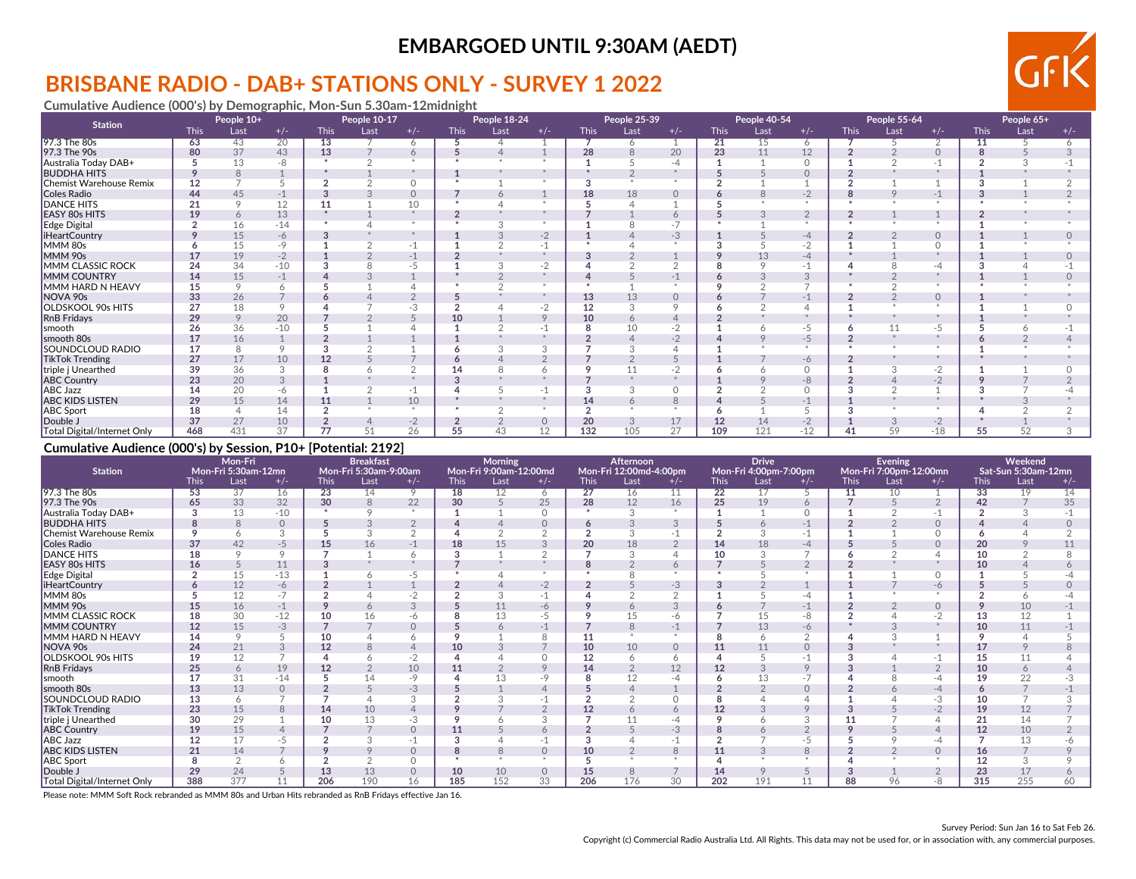# **BRISBANE RADIO - DAB+ STATIONS ONLY - SURVEY 1 2022**

**Cumulative Audience (000's) by Demographic, Mon-Sun 5.30am-12midnight**

| <b>Station</b>                     |             | People 10+ |         |             | People 10-17 |                |             | People 18-24 |         |             | People 25-39 |          |             | People 40-54 |          |             | People 55-64 |          |             | People 65+ |       |
|------------------------------------|-------------|------------|---------|-------------|--------------|----------------|-------------|--------------|---------|-------------|--------------|----------|-------------|--------------|----------|-------------|--------------|----------|-------------|------------|-------|
|                                    | <b>This</b> | Last       | $+/-$   | <b>This</b> | Last         | $+/-$          | <b>This</b> | Last         | $+/-$   | <b>This</b> | Last         | $+/-$    | <b>This</b> | Last         | $+/-$    | <b>This</b> | Last         | $+/-$    | <b>This</b> | Last       | $+/-$ |
| 97.3 The 80s                       | 63          | 43         | 20      | 13          |              | 6              |             |              |         |             | 6            |          | 21          | 15           | 6        |             |              | ◠        | 11          |            |       |
| 97.3 The 90s                       | 80          | 37         | 43      | 13          |              | 6              |             |              |         | 28          |              | 20       | 23          | 11           | 12       |             |              | $\Omega$ |             |            |       |
| Australia Today DAB+               |             | 13         | -8      |             |              |                |             |              |         |             |              |          |             |              | $\Omega$ |             |              |          |             |            |       |
| <b>BUDDHA HITS</b>                 |             | 8          |         |             |              |                |             |              |         |             |              |          |             |              | $\circ$  |             |              |          |             |            |       |
| Chemist Warehouse Remix            | 12          |            |         |             |              | $\Omega$       |             |              |         |             |              |          |             |              |          |             |              |          |             |            |       |
| Coles Radio                        | 44          | 45         |         |             |              | $\circ$        |             |              |         | 18          | 18           | $\Omega$ |             |              | $-2$     | 8           | $\circ$      | $-1$     |             |            |       |
| <b>DANCE HITS</b>                  | 21          |            | 12      | 11          |              | 10             |             |              |         |             |              |          |             |              |          |             |              |          |             |            |       |
| EASY 80s HITS                      | 19          | 6          | 13      |             |              |                |             |              |         |             |              |          |             |              |          |             |              |          |             |            |       |
| Edge Digital                       |             | 16         | $-14$   |             |              |                |             |              |         |             |              | $-7$     |             |              | $\star$  |             |              |          |             |            |       |
| <b>iHeartCountry</b>               |             | 15         | -6      |             |              |                |             |              | $-2$    |             |              | $-3$     |             |              | $-4$     |             |              | $\Omega$ |             |            |       |
| MMM 80s                            |             | 15         | $-9$    |             |              | $-1$           |             |              |         |             |              |          |             |              | $-2$     |             |              |          |             |            |       |
| MMM 90s                            |             | 19         | $-2$    |             |              | $-1$           |             |              |         |             |              |          |             | 13           | $-4$     |             |              |          |             |            |       |
| MMM CLASSIC ROCK                   | 24          | 34         | $-10$   |             |              | -5             |             |              | $-2$    |             |              |          |             |              | -1       |             |              | -4       |             |            |       |
| MMM COUNTRY                        | 14          | 15         | $-1$    |             |              |                |             |              |         |             |              |          |             |              | 3        |             |              |          |             |            |       |
| MMM HARD N HEAVY                   | 15          | $\circ$    |         |             |              |                |             |              |         |             |              |          |             |              |          |             |              |          |             |            |       |
| NOVA 90s                           | 33          | 26         |         |             |              | $\overline{2}$ |             |              |         | 13          | 13           | $\Omega$ |             |              | $-1$     |             |              | $\Omega$ |             |            |       |
| OLDSKOOL 90s HITS                  | 27          | 18         |         |             |              | -3             |             |              |         | 12          |              |          |             |              |          |             |              |          |             |            |       |
| <b>RnB Fridays</b>                 | 29          | 9          | 20      |             |              |                |             |              | $\circ$ | 10          | 6            |          |             |              |          |             |              |          |             |            |       |
| smooth                             | 26          | 36         | $-10$   |             |              |                |             |              |         |             | 10           | - 2      |             |              | -5       | 6           | 11           | $-5$     |             |            |       |
| smooth 80s                         | 17          | 16         |         |             |              |                |             |              |         |             |              | $-2$     |             |              | $-5$     |             |              |          |             |            |       |
| <b>SOUNDCLOUD RADIO</b>            | 17          | 8          | $\circ$ |             |              |                |             |              | c       |             |              |          |             |              | $\star$  |             |              |          |             |            |       |
| <b>TikTok Trending</b>             | 27          | 17         | 10      | 12          |              |                |             |              |         |             |              |          |             |              | -6       |             |              |          |             |            |       |
| triple j Unearthed                 | 39          | 36         |         |             |              |                |             |              |         |             |              | $-2$     |             |              | $\Omega$ |             |              | $-2$     |             |            |       |
| <b>ABC Country</b>                 | 23          | 20         | 3       |             |              |                |             |              |         |             |              |          |             |              | $-8$     |             |              | $-2$     |             |            |       |
| <b>ABC Jazz</b>                    | 14          | 20         | -6      |             |              | $-1$           |             |              | $-1$    |             |              | $\cap$   |             |              | $\Omega$ |             |              |          |             |            |       |
| <b>ABC KIDS LISTEN</b>             | 29          | 15         | 14      | 11          |              | 10             |             |              |         | 14          | 6            |          |             |              | $-1$     |             |              |          |             |            |       |
| <b>ABC Sport</b>                   | 18          |            | 14      |             |              |                |             |              |         |             |              |          |             |              |          |             |              |          |             |            |       |
| Double J                           | 37          | 27         | 10      |             |              | $-2$           |             |              |         | 20          | 3            | 17       | 12          |              |          |             |              | $-2$     |             |            |       |
| <b>Total Digital/Internet Only</b> | 468         | 431        | 37      | 77          |              | 26             | 55          |              | 12      | 132         | 105          | 27       | 109         | 121          | $-12$    | 41          | 59           | $-18$    | 55          | 52         |       |

#### **Cumulative Audience (000's) by Session, P10+ [Potential: 2192]**

| <b>Station</b>              | Mon-Fri<br>Mon-Fri 5:30am-12mn |               |          |                 | <b>Breakfast</b><br>Mon-Fri 5:30am-9:00am |               |             | <b>Morning</b><br>Mon-Fri 9:00am-12:00md |              |      | <b>Afternoon</b><br>Mon-Fri 12:00md-4:00pm |          |                 | <b>Drive</b><br>Mon-Fri 4:00pm-7:00pm |          |             | Evening<br>Mon-Fri 7:00pm-12:00mn |          |                 | Weekend<br>Sat-Sun 5:30am-12mn |       |
|-----------------------------|--------------------------------|---------------|----------|-----------------|-------------------------------------------|---------------|-------------|------------------------------------------|--------------|------|--------------------------------------------|----------|-----------------|---------------------------------------|----------|-------------|-----------------------------------|----------|-----------------|--------------------------------|-------|
|                             | <b>This</b>                    | Last          | $+/-$    | <b>This</b>     | Last                                      | $+/-$         | <b>This</b> | Last                                     | $+/-$        | This | Last                                       | $+/-$    | <b>This</b>     | Last                                  | $+/-$    | <b>This</b> | Last                              | $+/-$    | <b>This</b>     | Last                           | $+/-$ |
| 97.3 The 80s                | 53                             | 37            | 16       | $\overline{23}$ | 14                                        | 9             | 18          | 12                                       | <sup>6</sup> | 27   | 16                                         | 11       | $\overline{22}$ |                                       |          | -11         | 10                                |          | $\overline{33}$ | 19                             | 14    |
| 97.3 The 90s                | 65                             | 33            | 32       | 30              | 8                                         | 22            | 30          |                                          | 25           | 28   | 12                                         | 16       | 25              | 19                                    | 6        |             |                                   |          | 42              |                                | 35    |
| Australia Today DAB+        |                                | 13            | $-10$    | $\mathbf{r}$    |                                           | $*$           |             |                                          | $\cap$       |      | $\mathcal{R}$                              |          |                 |                                       | $\Omega$ |             |                                   |          |                 |                                |       |
| <b>BUDDHA HITS</b>          |                                | $\mathcal{B}$ | $\circ$  |                 |                                           | 2             |             |                                          |              |      |                                            |          |                 |                                       | $-1$     |             |                                   |          |                 |                                |       |
| Chemist Warehouse Remix     |                                |               | 3        |                 |                                           | $\Omega$<br>∠ |             |                                          |              |      |                                            |          |                 |                                       |          |             |                                   |          |                 |                                |       |
| <b>Coles Radio</b>          | 37                             | 42            | $-5$     | 15              | 16                                        | $-1$          | 18          | 15                                       |              | 20   | 18                                         |          | 14              | 18                                    | -4       |             |                                   |          | 20              |                                |       |
| <b>DANCE HITS</b>           | 18                             | $\circ$       | $\circ$  |                 |                                           | 6             |             |                                          |              |      | $\circ$                                    |          | 10              |                                       |          |             |                                   |          | 10              |                                |       |
| <b>EASY 80s HITS</b>        | 16                             |               | 11       |                 |                                           |               |             |                                          |              |      |                                            |          |                 |                                       | $\Omega$ |             |                                   |          | 10              |                                |       |
| Edge Digital                |                                | 15            | $-13$    |                 |                                           | $-5$          |             |                                          |              |      |                                            |          |                 |                                       |          |             |                                   |          |                 |                                |       |
| <b>iHeartCountry</b>        |                                | 12            | -6       |                 |                                           |               |             |                                          | $-2$         |      |                                            | $-3$     |                 |                                       |          |             |                                   | -6       |                 |                                |       |
| MMM 80s                     |                                | 12            |          |                 |                                           | $-2$          |             | $\sim$                                   |              |      |                                            |          |                 |                                       |          |             |                                   |          |                 |                                |       |
| MMM 90s                     | 15                             | 16            | $-1$     |                 |                                           | 3             |             | 11                                       | -6           |      | $\circ$                                    |          |                 |                                       | $-1$     |             |                                   | $\Omega$ |                 | 10                             |       |
| MMM CLASSIC ROCK            | 18                             | 30            | $-12$    | 10              |                                           | -6            |             | 13                                       | $-5$         |      | 15                                         | -6       |                 |                                       | -8       |             |                                   | $-2$     | 13              | 12                             |       |
| <b>IMMM COUNTRY</b>         | 12                             | 15            | $-3$     |                 |                                           | $\Omega$      |             |                                          |              |      | 8                                          | $-1$     |                 | 13                                    | -6       |             |                                   |          | 10              | 11                             |       |
| MMM HARD N HEAVY            | 14                             | 9             |          | 10              |                                           | Ô             |             |                                          |              |      |                                            |          |                 |                                       | $\sim$   |             |                                   |          |                 |                                |       |
| NOVA 90s                    | 24                             | 21            |          | 12              |                                           | 4             | 10          |                                          |              | 10   | 10                                         | $\Omega$ | 11              |                                       | $\Omega$ |             |                                   |          | 17              |                                |       |
| OLDSKOOL 90s HITS           | 19                             | 12            |          |                 |                                           | $-2$          |             |                                          |              | 12   | 6                                          | 6        |                 |                                       |          |             |                                   |          | 15              | 11                             |       |
| <b>RnB</b> Fridays          | 25                             | 6             | 19       | 12              |                                           | 10            | 11          |                                          |              | 14   |                                            | 12       | 12              |                                       | 9        |             |                                   | $\Omega$ | 10              | $\circ$                        |       |
| Ismooth                     | 17                             | 31            | $-14$    |                 | 14                                        | $-9$          |             | 13                                       | $-9$         |      | 12                                         |          |                 | 13                                    | $-7$     |             |                                   | $-4$     | 19              | 22                             |       |
| smooth 80s                  | 13                             | 13            | $\Omega$ |                 |                                           | -3            |             |                                          |              |      |                                            |          |                 |                                       | $\Omega$ |             |                                   | $-4$     |                 |                                |       |
| SOUNDCLOUD RADIO            | 13                             | 6             |          |                 |                                           | 3             |             |                                          |              |      |                                            |          |                 |                                       |          |             |                                   | -3       | 10              |                                |       |
| <b>TikTok Trending</b>      | 23                             | 15            | 8        | 14              | 10                                        | 4             |             |                                          |              | 12   |                                            |          | 12              |                                       | $\circ$  |             |                                   | $-2$     | 19              | 12                             |       |
| triple j Unearthed          | 30                             | 29            |          |                 | 13                                        | -3            |             |                                          |              |      |                                            |          |                 |                                       | $\Omega$ |             |                                   |          | 21              | 14                             |       |
| <b>ABC Country</b>          | 19                             | 15            |          |                 |                                           | $\Omega$      | 11          |                                          |              |      |                                            | $-3$     |                 |                                       |          |             |                                   |          | 12              | 10                             |       |
| <b>ABC Jazz</b>             | 12                             | 17            |          |                 |                                           |               |             |                                          |              |      |                                            |          |                 |                                       |          |             |                                   | -4       |                 | 13                             |       |
| <b>ABC KIDS LISTEN</b>      | 21                             | 14            |          |                 |                                           | $\circ$       |             | 8                                        | $\Omega$     | 10   |                                            | 8        | 11              |                                       | 8        |             |                                   |          | 16              |                                |       |
| <b>ABC</b> Sport            |                                | $\sim$        |          |                 |                                           | $\Omega$      |             |                                          |              |      |                                            |          |                 |                                       |          |             |                                   |          | 12              | 3                              |       |
| Double J                    | 29                             | 24            |          | 13              | 13                                        | $\circ$       | 10          | 10                                       | $\circ$      | 15   | 8                                          |          | 14              | 9                                     | 5        |             |                                   |          | 23              | 17                             |       |
| Total Digital/Internet Only | 388                            | 377           | 11       | 206             | 190                                       | 16            | 185         | 152                                      | 33           | 206  | 176                                        | 30       | 202             | 191                                   | 11       | 88          | 96                                | -8       | 315             | 255                            | 60    |

Please note: MMM Soft Rock rebranded as MMM 80s and Urban Hits rebranded as RnB Fridays effective Jan 16.

GF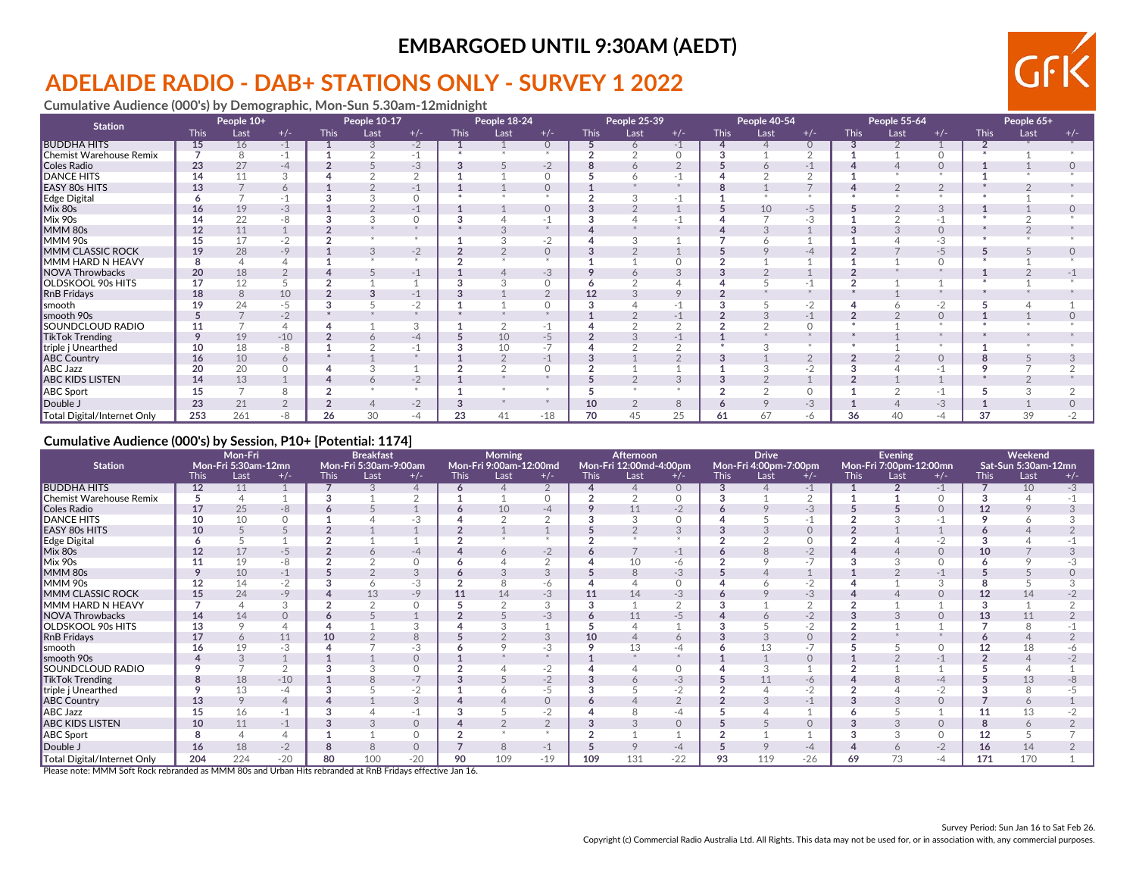# **ADELAIDE RADIO - DAB+ STATIONS ONLY - SURVEY 1 2022**

**Cumulative Audience (000's) by Demographic, Mon-Sun 5.30am-12midnight**

| <b>Station</b>              | People 10+  |      |       | People 10-17 |      |               | People 18-24 |      |          | People 25-39 |          |       | People 40-54 |      |                | People 55-64 |      |       | People 65+  |      |       |
|-----------------------------|-------------|------|-------|--------------|------|---------------|--------------|------|----------|--------------|----------|-------|--------------|------|----------------|--------------|------|-------|-------------|------|-------|
|                             | <b>This</b> | Last | $+/-$ | <b>This</b>  | Last | $+/-$         | <b>This</b>  | Last | $+/-$    | <b>This</b>  | Last     | $+/-$ | <b>This</b>  | Last | $+/-$          | <b>This</b>  | Last | $+/-$ | <b>This</b> | Last | $+/-$ |
| <b>BUDDHA HITS</b>          | 15          | 16   | $-1$  |              |      | $-2$          |              |      | $\Omega$ |              | 6        | $-1$  |              |      | $\circ$        |              |      |       |             |      |       |
| Chemist Warehouse Remix     |             | 8    | -1    |              |      | $-1$          |              |      |          |              |          |       |              |      | $\sqrt{2}$     |              |      |       |             |      |       |
| Coles Radio                 | 23          | 27   | $-4$  |              |      | -3            |              |      | $-2$     |              |          |       |              |      |                |              |      |       |             |      |       |
| <b>DANCE HITS</b>           | 14          | 11   | 3     |              |      | $\bigcap$     |              |      |          |              |          |       |              |      | $\sim$         |              |      |       |             |      |       |
| <b>EASY 80s HITS</b>        | 13          |      | 6     |              |      | -1            |              |      | $\Omega$ |              |          |       |              |      |                |              |      | ∠     |             |      |       |
| Edge Digital                |             |      |       |              |      | $\Omega$      |              |      |          |              |          |       |              |      |                |              |      |       |             |      |       |
| Mix 80s                     | 16          | 19   | $-3$  |              |      | $-1$          |              |      | $\Omega$ |              |          |       |              | 10   | $-5$           |              |      |       |             |      |       |
| Mix 90s                     | 14          | 22   |       |              |      | O             |              |      |          |              |          |       |              |      | -3             |              |      |       |             |      |       |
| MMM 80s                     | 12          | 11   |       |              |      |               |              |      |          |              |          |       |              |      |                |              |      |       |             |      |       |
| MMM 90s                     | 15          | 17   | -2    |              |      |               |              |      | -2       |              |          |       |              |      |                |              |      | -3    |             |      |       |
| MMM CLASSIC ROCK            | 19          | 28   | $-9$  |              |      | $-2$          |              |      | $\Omega$ |              |          |       |              |      | -4             |              |      | -5    |             |      |       |
| MMM HARD N HEAVY            | 8           |      |       |              |      | $\rightarrow$ |              |      |          |              |          |       |              |      |                |              |      |       |             |      |       |
| NOVA Throwbacks             | 20          | 18   |       |              |      | $-1$          |              |      | $-3$     |              |          |       |              |      |                |              |      |       |             |      |       |
| OLDSKOOL 90s HITS           | 17          | 12   |       |              |      |               |              |      |          |              |          |       |              |      |                |              |      |       |             |      |       |
| <b>RnB</b> Fridays          | 18          | 8    | 10    |              |      | $-1$          |              |      | $\Omega$ |              |          |       |              |      |                |              |      |       |             |      |       |
| smooth                      | 19          | 24   | -5    |              |      | $-2$          |              |      |          |              |          |       |              |      | $-2$           |              |      |       |             |      |       |
| smooth 90s                  |             |      | $-2$  |              |      |               |              |      |          |              |          |       |              |      |                |              |      |       |             |      |       |
| SOUNDCLOUD RADIO            |             |      |       |              |      | 3             |              |      |          |              |          |       |              |      | 0              |              |      |       |             |      |       |
| <b>TikTok Trending</b>      |             | 19   | $-10$ |              |      | -4            |              | 10   | $-5$     |              |          |       |              |      |                |              |      |       |             |      |       |
| triple j Unearthed          | 10          | 18   | -8    |              |      |               |              | 10   | $-1$     |              |          |       |              |      |                |              |      |       |             |      |       |
| <b>ABC Country</b>          | 16          | 10   | 6     |              |      |               |              |      | $-1$     |              |          |       |              |      | $\overline{2}$ |              |      |       |             |      |       |
| <b>ABC Jazz</b>             | 20          | 20   |       |              |      |               |              |      |          |              |          |       |              |      | $-2$           |              |      |       |             |      |       |
| <b>ABC KIDS LISTEN</b>      | 14          | 13   |       |              |      | $-2$          |              |      |          |              |          | 3     |              |      |                | $\Omega$     |      |       |             |      |       |
| <b>ABC</b> Sport            | 15          |      |       |              |      |               |              |      |          |              |          |       |              |      | $\circ$        |              |      | -1    |             |      |       |
| Double J                    | 23          | 21   |       |              |      | $-2$          |              |      |          | 10           | $\Omega$ | 8     |              |      | -3             |              |      | $-3$  |             |      |       |
| Total Digital/Internet Only | 253         | 261  |       | 26           | 30   | -4            | 23           | 41   | $-18$    | 70           | 45       | 25    | 61           | 67   | -6             | 36           | 40   | -4    | 37          | 39   |       |

#### **Cumulative Audience (000's) by Session, P10+ [Potential: 1174]**

|                             | Mon-Fri<br>Mon-Fri 5:30am-12mn |      |          |             | <b>Breakfast</b>              |          |             | Morning                        |               |             | Afternoon                      |          |              | <b>Drive</b>                  |                          |             | Evening                        |          |                 | Weekend                     |       |
|-----------------------------|--------------------------------|------|----------|-------------|-------------------------------|----------|-------------|--------------------------------|---------------|-------------|--------------------------------|----------|--------------|-------------------------------|--------------------------|-------------|--------------------------------|----------|-----------------|-----------------------------|-------|
| <b>Station</b>              | <b>This</b>                    | Last | $+/-$    | <b>This</b> | Mon-Fri 5:30am-9:00am<br>Last | $+/-$    | <b>This</b> | Mon-Fri 9:00am-12:00md<br>Last | $+/-$         | <b>This</b> | Mon-Fri 12:00md-4:00pm<br>Last | $+/-$    | <b>This</b>  | Mon-Fri 4:00pm-7:00pm<br>Last | $+/-$                    | <b>This</b> | Mon-Fri 7:00pm-12:00mn<br>Last | $+/-$    | <b>This</b>     | Sat-Sun 5:30am-12mn<br>Last | $+/-$ |
| <b>BUDDHA HITS</b>          | 12                             | 11   |          |             |                               | $\Delta$ | 6           | 4                              |               |             |                                | $\Omega$ | 3            |                               | $-1$                     |             |                                | $-1$     |                 | 10                          | -3    |
| Chemist Warehouse Remix     | 5                              |      |          | 3           |                               | $\Omega$ |             |                                | O             |             |                                |          | $\mathbf{3}$ |                               | $\Omega$                 |             |                                |          |                 |                             |       |
| Coles Radio                 | 17                             | 25   | -8       |             |                               |          |             | 10                             | $-4$          |             | 11                             | $-2$     | o            |                               | -3                       |             |                                | $\Omega$ | 12 <sup>2</sup> |                             |       |
| <b>DANCE HITS</b>           | 10                             | 10   |          |             |                               | $-3$     |             | $\sim$                         | $\Omega$      |             | 3                              |          |              |                               | $-1$                     | $\sim$      |                                |          |                 |                             |       |
| <b>EASY 80s HITS</b>        | 10                             |      |          |             |                               |          |             |                                |               |             |                                |          |              |                               | $\circ$                  |             |                                |          |                 |                             |       |
| <b>Edge Digital</b>         |                                |      |          |             |                               |          |             |                                |               |             |                                |          |              |                               | $\Omega$                 |             |                                | $-2$     |                 |                             |       |
| Mix 80s                     | 12                             | 17   | $-5$     |             |                               | -4       |             | $\circ$                        | $-2$          |             |                                | $-1$     |              |                               | $-2$                     |             |                                | $\Omega$ | 10              |                             |       |
| Mix 90s                     | 11                             | 19   | -8       |             |                               | $\Omega$ |             |                                |               |             | 10                             | -6       |              |                               | $\overline{\phantom{0}}$ |             |                                |          |                 |                             |       |
| MMM 80s                     |                                | 10   |          |             |                               | 3        |             |                                |               |             | 8                              | -3       |              |                               |                          |             |                                | -1       |                 |                             |       |
| MMM 90s                     | 12                             | 14   |          |             |                               | $-3$     |             | Õ                              | -6            |             |                                |          |              |                               | $-2$                     |             |                                | $\sim$   |                 |                             |       |
| <b>MMM CLASSIC ROCK</b>     | 15                             | 24   | $-9$     |             | 13                            | $-9$     | 11          | 14                             | $-3$          |             | 14                             | $-3$     |              |                               | $-3$                     |             |                                |          | 12 <sup>2</sup> | 14                          |       |
| MMM HARD N HEAVY            |                                |      |          |             |                               | $\Omega$ |             |                                | 3             |             |                                |          |              |                               |                          |             |                                |          |                 |                             |       |
| <b>NOVA Throwbacks</b>      | 14                             | 14   |          |             |                               |          |             |                                | $-3$          |             | 11                             | -5       |              |                               | $-2$                     |             |                                |          | 13              | 11                          |       |
| OLDSKOOL 90s HITS           | 13                             |      |          |             |                               |          |             |                                |               |             |                                |          |              |                               |                          |             |                                |          |                 |                             |       |
| <b>RnB</b> Fridays          | 17                             | 6    | 11       | 10          |                               | 8        |             |                                | 3             | 10          |                                | 6        |              |                               | $\Omega$                 |             |                                |          |                 |                             |       |
| smooth                      |                                | 19   | -3       |             |                               | -3       |             |                                | -3            |             | 13                             | -4       |              |                               |                          |             |                                |          |                 | 18                          |       |
| smooth 90s                  |                                |      |          |             |                               | $\Omega$ |             |                                |               |             |                                |          |              |                               | $\Omega$                 |             |                                | $-1$     |                 |                             |       |
| SOUNDCLOUD RADIO            |                                |      |          |             |                               |          |             |                                | -2            |             |                                |          |              |                               |                          |             |                                |          |                 |                             |       |
| <b>TikTok Trending</b>      | 8                              | 18   | $-10$    |             |                               | $-7$     |             |                                | $-2$          |             |                                | $-3$     |              | 11                            | -6                       |             |                                | $-4$     |                 | 13                          |       |
| triple j Unearthed          |                                | 13   | -4       |             |                               | -2       |             |                                | -5            |             |                                |          |              |                               |                          |             |                                |          |                 |                             |       |
| <b>ABC Country</b>          | 13                             | 9    | $\Delta$ |             |                               | 3        |             |                                | $\Omega$      |             |                                |          |              |                               |                          |             |                                |          |                 | 6                           |       |
| <b>ABC Jazz</b>             | 15                             | 16   | -1       |             |                               |          |             |                                | $-2$          |             |                                | -4       |              |                               |                          |             |                                |          | 11              | 13                          |       |
| <b>ABC KIDS LISTEN</b>      | 10                             | 11   | $-1$     | 3           | 3                             | $\circ$  |             | $\overline{2}$                 | $\mathcal{L}$ |             | 3                              | $\circ$  |              |                               | $\circ$                  | 3           | 3                              | $\Omega$ |                 | 6                           |       |
| <b>ABC</b> Sport            |                                |      |          |             |                               | $\circ$  |             |                                |               |             |                                |          |              |                               |                          |             | 3                              |          | 12              |                             |       |
| Double J                    | 16                             | 18   | $-2$     | 8           | 8                             | $\Omega$ |             | 8                              | $-1$          |             |                                | $-4$     |              |                               | $-4$                     |             | 6                              | $-2$     | 16              | 14                          |       |
| Total Digital/Internet Only | 204                            | 224  | $-20$    | 80          | 100                           | $-20$    | 90          | 109                            | $-19$         | 109         | 131                            | $-22$    | 93           | 119                           | $-26$                    | 69          | 73                             | -4       | 171             | 170                         |       |

Please note: MMM Soft Rock rebranded as MMM 80s and Urban Hits rebranded at RnB Fridays effective Jan 16.